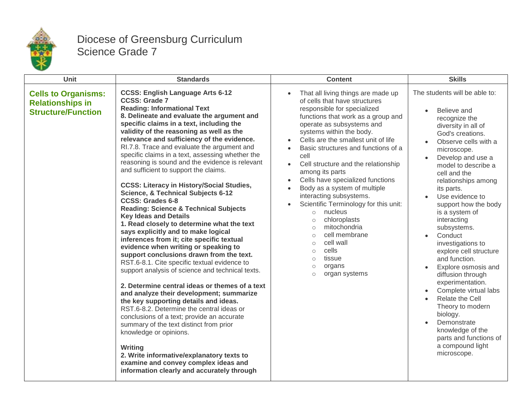

## Diocese of Greensburg Curriculum Science Grade 7

| Unit                                                                               | <b>Standards</b>                                                                                                                                                                                                                                                                                                                                                                                                                                                                                                                                                                                                                                                                                                                                                                                                                                                                                                                                                                                                                                                                                                                                                                                                                                                                                                                                                                                                                                                                            | <b>Content</b>                                                                                                                                                                                                                                                                                                                                                                                                                                                                                                                                                                                                                                                                                                                                | <b>Skills</b>                                                                                                                                                                                                                                                                                                                                                                                                                                                                                                                                                                                                                                                      |
|------------------------------------------------------------------------------------|---------------------------------------------------------------------------------------------------------------------------------------------------------------------------------------------------------------------------------------------------------------------------------------------------------------------------------------------------------------------------------------------------------------------------------------------------------------------------------------------------------------------------------------------------------------------------------------------------------------------------------------------------------------------------------------------------------------------------------------------------------------------------------------------------------------------------------------------------------------------------------------------------------------------------------------------------------------------------------------------------------------------------------------------------------------------------------------------------------------------------------------------------------------------------------------------------------------------------------------------------------------------------------------------------------------------------------------------------------------------------------------------------------------------------------------------------------------------------------------------|-----------------------------------------------------------------------------------------------------------------------------------------------------------------------------------------------------------------------------------------------------------------------------------------------------------------------------------------------------------------------------------------------------------------------------------------------------------------------------------------------------------------------------------------------------------------------------------------------------------------------------------------------------------------------------------------------------------------------------------------------|--------------------------------------------------------------------------------------------------------------------------------------------------------------------------------------------------------------------------------------------------------------------------------------------------------------------------------------------------------------------------------------------------------------------------------------------------------------------------------------------------------------------------------------------------------------------------------------------------------------------------------------------------------------------|
| <b>Cells to Organisms:</b><br><b>Relationships in</b><br><b>Structure/Function</b> | <b>CCSS: English Language Arts 6-12</b><br><b>CCSS: Grade 7</b><br><b>Reading: Informational Text</b><br>8. Delineate and evaluate the argument and<br>specific claims in a text, including the<br>validity of the reasoning as well as the<br>relevance and sufficiency of the evidence.<br>RI.7.8. Trace and evaluate the argument and<br>specific claims in a text, assessing whether the<br>reasoning is sound and the evidence is relevant<br>and sufficient to support the claims.<br><b>CCSS: Literacy in History/Social Studies,</b><br><b>Science, &amp; Technical Subjects 6-12</b><br><b>CCSS: Grades 6-8</b><br><b>Reading: Science &amp; Technical Subjects</b><br><b>Key Ideas and Details</b><br>1. Read closely to determine what the text<br>says explicitly and to make logical<br>inferences from it; cite specific textual<br>evidence when writing or speaking to<br>support conclusions drawn from the text.<br>RST.6-8.1. Cite specific textual evidence to<br>support analysis of science and technical texts.<br>2. Determine central ideas or themes of a text<br>and analyze their development; summarize<br>the key supporting details and ideas.<br>RST.6-8.2. Determine the central ideas or<br>conclusions of a text; provide an accurate<br>summary of the text distinct from prior<br>knowledge or opinions.<br>Writing<br>2. Write informative/explanatory texts to<br>examine and convey complex ideas and<br>information clearly and accurately through | That all living things are made up<br>of cells that have structures<br>responsible for specialized<br>functions that work as a group and<br>operate as subsystems and<br>systems within the body.<br>Cells are the smallest unit of life<br>Basic structures and functions of a<br>cell<br>Cell structure and the relationship<br>among its parts<br>Cells have specialized functions<br>$\bullet$<br>Body as a system of multiple<br>$\bullet$<br>interacting subsystems.<br>Scientific Terminology for this unit:<br>nucleus<br>$\circ$<br>chloroplasts<br>$\circ$<br>mitochondria<br>$\circ$<br>cell membrane<br>$\circ$<br>cell wall<br>$\circ$<br>cells<br>$\circ$<br>tissue<br>$\circ$<br>organs<br>$\circ$<br>organ systems<br>$\circ$ | The students will be able to:<br>Believe and<br>recognize the<br>diversity in all of<br>God's creations.<br>Observe cells with a<br>microscope.<br>Develop and use a<br>model to describe a<br>cell and the<br>relationships among<br>its parts.<br>Use evidence to<br>support how the body<br>is a system of<br>interacting<br>subsystems.<br>Conduct<br>investigations to<br>explore cell structure<br>and function.<br>Explore osmosis and<br>diffusion through<br>experimentation.<br>Complete virtual labs<br>Relate the Cell<br>Theory to modern<br>biology.<br>Demonstrate<br>knowledge of the<br>parts and functions of<br>a compound light<br>microscope. |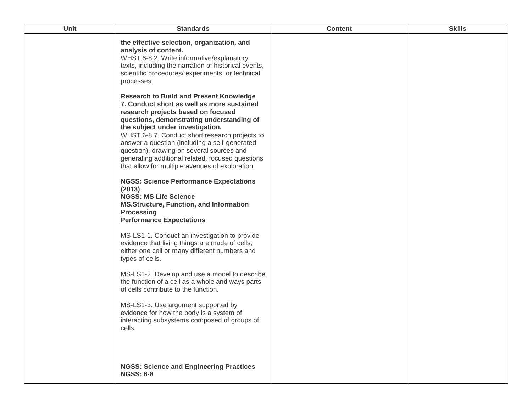| <b>Unit</b> | <b>Standards</b>                                                                                                                                                                                                                                                                                                                                                                                                         | <b>Content</b> | <b>Skills</b> |
|-------------|--------------------------------------------------------------------------------------------------------------------------------------------------------------------------------------------------------------------------------------------------------------------------------------------------------------------------------------------------------------------------------------------------------------------------|----------------|---------------|
|             | the effective selection, organization, and<br>analysis of content.<br>WHST.6-8.2. Write informative/explanatory<br>texts, including the narration of historical events,<br>scientific procedures/ experiments, or technical<br>processes.<br><b>Research to Build and Present Knowledge</b>                                                                                                                              |                |               |
|             | 7. Conduct short as well as more sustained<br>research projects based on focused<br>questions, demonstrating understanding of<br>the subject under investigation.<br>WHST.6-8.7. Conduct short research projects to<br>answer a question (including a self-generated<br>question), drawing on several sources and<br>generating additional related, focused questions<br>that allow for multiple avenues of exploration. |                |               |
|             | <b>NGSS: Science Performance Expectations</b><br>(2013)<br><b>NGSS: MS Life Science</b><br><b>MS.Structure, Function, and Information</b><br><b>Processing</b><br><b>Performance Expectations</b>                                                                                                                                                                                                                        |                |               |
|             | MS-LS1-1. Conduct an investigation to provide<br>evidence that living things are made of cells;<br>either one cell or many different numbers and<br>types of cells.                                                                                                                                                                                                                                                      |                |               |
|             | MS-LS1-2. Develop and use a model to describe<br>the function of a cell as a whole and ways parts<br>of cells contribute to the function.                                                                                                                                                                                                                                                                                |                |               |
|             | MS-LS1-3. Use argument supported by<br>evidence for how the body is a system of<br>interacting subsystems composed of groups of<br>cells.                                                                                                                                                                                                                                                                                |                |               |
|             | <b>NGSS: Science and Engineering Practices</b><br><b>NGSS: 6-8</b>                                                                                                                                                                                                                                                                                                                                                       |                |               |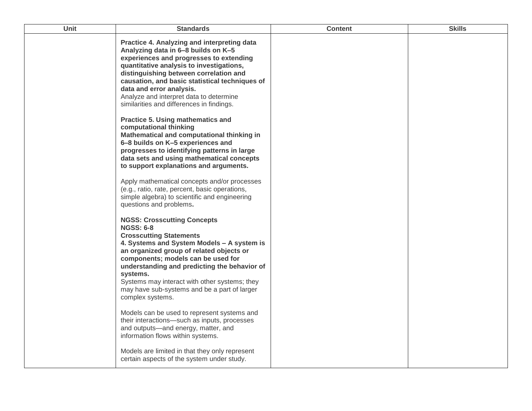| <b>Unit</b> | <b>Standards</b>                                                                                                                                                                                                                                                                                                                                                                                          | <b>Content</b> | <b>Skills</b> |
|-------------|-----------------------------------------------------------------------------------------------------------------------------------------------------------------------------------------------------------------------------------------------------------------------------------------------------------------------------------------------------------------------------------------------------------|----------------|---------------|
|             | Practice 4. Analyzing and interpreting data<br>Analyzing data in 6-8 builds on K-5<br>experiences and progresses to extending<br>quantitative analysis to investigations,<br>distinguishing between correlation and<br>causation, and basic statistical techniques of<br>data and error analysis.<br>Analyze and interpret data to determine<br>similarities and differences in findings.                 |                |               |
|             | Practice 5. Using mathematics and<br>computational thinking<br>Mathematical and computational thinking in<br>6-8 builds on K-5 experiences and<br>progresses to identifying patterns in large<br>data sets and using mathematical concepts<br>to support explanations and arguments.                                                                                                                      |                |               |
|             | Apply mathematical concepts and/or processes<br>(e.g., ratio, rate, percent, basic operations,<br>simple algebra) to scientific and engineering<br>questions and problems.                                                                                                                                                                                                                                |                |               |
|             | <b>NGSS: Crosscutting Concepts</b><br><b>NGSS: 6-8</b><br><b>Crosscutting Statements</b><br>4. Systems and System Models - A system is<br>an organized group of related objects or<br>components; models can be used for<br>understanding and predicting the behavior of<br>systems.<br>Systems may interact with other systems; they<br>may have sub-systems and be a part of larger<br>complex systems. |                |               |
|             | Models can be used to represent systems and<br>their interactions-such as inputs, processes<br>and outputs-and energy, matter, and<br>information flows within systems.<br>Models are limited in that they only represent<br>certain aspects of the system under study.                                                                                                                                   |                |               |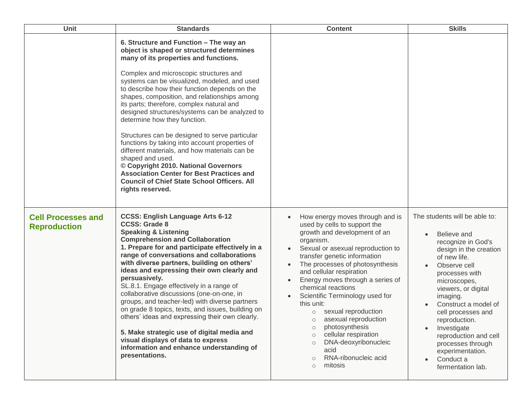| <b>Unit</b>                                      | <b>Standards</b>                                                                                                                                                                                                                                                                                                                                                                                                                                                                                                                                                                                                                                                                                                                                                                                      | <b>Content</b>                                                                                                                                                                                                                                                                                                                                                                                                                                                                                                                                                                                         | <b>Skills</b>                                                                                                                                                                                                                                                                                                                                                                                    |
|--------------------------------------------------|-------------------------------------------------------------------------------------------------------------------------------------------------------------------------------------------------------------------------------------------------------------------------------------------------------------------------------------------------------------------------------------------------------------------------------------------------------------------------------------------------------------------------------------------------------------------------------------------------------------------------------------------------------------------------------------------------------------------------------------------------------------------------------------------------------|--------------------------------------------------------------------------------------------------------------------------------------------------------------------------------------------------------------------------------------------------------------------------------------------------------------------------------------------------------------------------------------------------------------------------------------------------------------------------------------------------------------------------------------------------------------------------------------------------------|--------------------------------------------------------------------------------------------------------------------------------------------------------------------------------------------------------------------------------------------------------------------------------------------------------------------------------------------------------------------------------------------------|
|                                                  | 6. Structure and Function - The way an<br>object is shaped or structured determines<br>many of its properties and functions.<br>Complex and microscopic structures and<br>systems can be visualized, modeled, and used<br>to describe how their function depends on the<br>shapes, composition, and relationships among<br>its parts; therefore, complex natural and<br>designed structures/systems can be analyzed to<br>determine how they function.<br>Structures can be designed to serve particular<br>functions by taking into account properties of<br>different materials, and how materials can be<br>shaped and used.<br>© Copyright 2010. National Governors<br><b>Association Center for Best Practices and</b><br><b>Council of Chief State School Officers. All</b><br>rights reserved. |                                                                                                                                                                                                                                                                                                                                                                                                                                                                                                                                                                                                        |                                                                                                                                                                                                                                                                                                                                                                                                  |
| <b>Cell Processes and</b><br><b>Reproduction</b> | <b>CCSS: English Language Arts 6-12</b><br><b>CCSS: Grade 8</b><br><b>Speaking &amp; Listening</b><br><b>Comprehension and Collaboration</b><br>1. Prepare for and participate effectively in a<br>range of conversations and collaborations<br>with diverse partners, building on others'<br>ideas and expressing their own clearly and<br>persuasively.<br>SL.8.1. Engage effectively in a range of<br>collaborative discussions (one-on-one, in<br>groups, and teacher-led) with diverse partners<br>on grade 8 topics, texts, and issues, building on<br>others' ideas and expressing their own clearly.<br>5. Make strategic use of digital media and<br>visual displays of data to express<br>information and enhance understanding of<br>presentations.                                        | How energy moves through and is<br>used by cells to support the<br>growth and development of an<br>organism.<br>Sexual or asexual reproduction to<br>transfer genetic information<br>The processes of photosynthesis<br>and cellular respiration<br>Energy moves through a series of<br>chemical reactions<br>Scientific Terminology used for<br>this unit:<br>sexual reproduction<br>$\circ$<br>asexual reproduction<br>$\circ$<br>photosynthesis<br>$\circ$<br>cellular respiration<br>$\circ$<br>DNA-deoxyribonucleic<br>$\Omega$<br>acid<br>RNA-ribonucleic acid<br>$\Omega$<br>mitosis<br>$\circ$ | The students will be able to:<br>Believe and<br>recognize in God's<br>design in the creation<br>of new life.<br>Observe cell<br>processes with<br>microscopes,<br>viewers, or digital<br>imaging.<br>Construct a model of<br>cell processes and<br>reproduction.<br>Investigate<br>reproduction and cell<br>processes through<br>experimentation.<br>Conduct a<br>$\bullet$<br>fermentation lab. |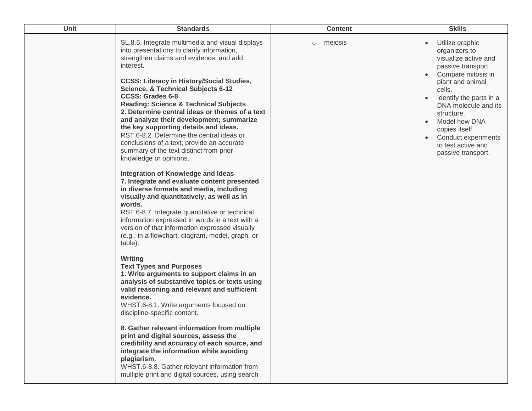| Unit | <b>Standards</b>                                                                                                                                                                                                                                                                                                                                                                                                                                                                                                                                                                                                                                                                                                                                                                                                                                                                                                                                                                                                                                                                                                                                                                                                                                                                                                                                                                                                                                                                                                                                                                                                                                                 | <b>Content</b>     | <b>Skills</b>                                                                                                                                                                                                                                                                                                          |
|------|------------------------------------------------------------------------------------------------------------------------------------------------------------------------------------------------------------------------------------------------------------------------------------------------------------------------------------------------------------------------------------------------------------------------------------------------------------------------------------------------------------------------------------------------------------------------------------------------------------------------------------------------------------------------------------------------------------------------------------------------------------------------------------------------------------------------------------------------------------------------------------------------------------------------------------------------------------------------------------------------------------------------------------------------------------------------------------------------------------------------------------------------------------------------------------------------------------------------------------------------------------------------------------------------------------------------------------------------------------------------------------------------------------------------------------------------------------------------------------------------------------------------------------------------------------------------------------------------------------------------------------------------------------------|--------------------|------------------------------------------------------------------------------------------------------------------------------------------------------------------------------------------------------------------------------------------------------------------------------------------------------------------------|
|      | SL.8.5. Integrate multimedia and visual displays<br>into presentations to clarify information,<br>strengthen claims and evidence, and add<br>interest.<br><b>CCSS: Literacy in History/Social Studies,</b><br><b>Science, &amp; Technical Subjects 6-12</b><br><b>CCSS: Grades 6-8</b><br><b>Reading: Science &amp; Technical Subjects</b><br>2. Determine central ideas or themes of a text<br>and analyze their development; summarize<br>the key supporting details and ideas.<br>RST.6-8.2. Determine the central ideas or<br>conclusions of a text; provide an accurate<br>summary of the text distinct from prior<br>knowledge or opinions.<br>Integration of Knowledge and Ideas<br>7. Integrate and evaluate content presented<br>in diverse formats and media, including<br>visually and quantitatively, as well as in<br>words.<br>RST.6-8.7. Integrate quantitative or technical<br>information expressed in words in a text with a<br>version of that information expressed visually<br>(e.g., in a flowchart, diagram, model, graph, or<br>table).<br><b>Writing</b><br><b>Text Types and Purposes</b><br>1. Write arguments to support claims in an<br>analysis of substantive topics or texts using<br>valid reasoning and relevant and sufficient<br>evidence.<br>WHST.6-8.1. Write arguments focused on<br>discipline-specific content.<br>8. Gather relevant information from multiple<br>print and digital sources, assess the<br>credibility and accuracy of each source, and<br>integrate the information while avoiding<br>plagiarism.<br>WHST.6-8.8. Gather relevant information from<br>multiple print and digital sources, using search | meiosis<br>$\circ$ | Utilize graphic<br>$\bullet$<br>organizers to<br>visualize active and<br>passive transport.<br>Compare mitosis in<br>plant and animal<br>cells.<br>Identify the parts in a<br>DNA molecule and its<br>structure.<br>Model how DNA<br>copies itself.<br>Conduct experiments<br>to test active and<br>passive transport. |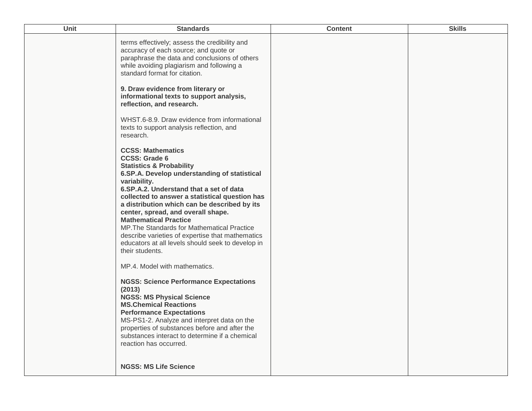| Unit | <b>Standards</b>                                                                                                                                                                                                                                                                                                                                                                                                                                                                                                                                      | <b>Content</b> | <b>Skills</b> |
|------|-------------------------------------------------------------------------------------------------------------------------------------------------------------------------------------------------------------------------------------------------------------------------------------------------------------------------------------------------------------------------------------------------------------------------------------------------------------------------------------------------------------------------------------------------------|----------------|---------------|
|      | terms effectively; assess the credibility and<br>accuracy of each source; and quote or<br>paraphrase the data and conclusions of others<br>while avoiding plagiarism and following a<br>standard format for citation.                                                                                                                                                                                                                                                                                                                                 |                |               |
|      | 9. Draw evidence from literary or<br>informational texts to support analysis,<br>reflection, and research.                                                                                                                                                                                                                                                                                                                                                                                                                                            |                |               |
|      | WHST.6-8.9. Draw evidence from informational<br>texts to support analysis reflection, and<br>research.                                                                                                                                                                                                                                                                                                                                                                                                                                                |                |               |
|      | <b>CCSS: Mathematics</b><br><b>CCSS: Grade 6</b><br><b>Statistics &amp; Probability</b><br>6.SP.A. Develop understanding of statistical<br>variability.<br>6.SP.A.2. Understand that a set of data<br>collected to answer a statistical question has<br>a distribution which can be described by its<br>center, spread, and overall shape.<br><b>Mathematical Practice</b><br>MP. The Standards for Mathematical Practice<br>describe varieties of expertise that mathematics<br>educators at all levels should seek to develop in<br>their students. |                |               |
|      | MP.4. Model with mathematics.<br><b>NGSS: Science Performance Expectations</b><br>(2013)<br><b>NGSS: MS Physical Science</b><br><b>MS.Chemical Reactions</b><br><b>Performance Expectations</b><br>MS-PS1-2. Analyze and interpret data on the<br>properties of substances before and after the<br>substances interact to determine if a chemical<br>reaction has occurred.                                                                                                                                                                           |                |               |
|      | <b>NGSS: MS Life Science</b>                                                                                                                                                                                                                                                                                                                                                                                                                                                                                                                          |                |               |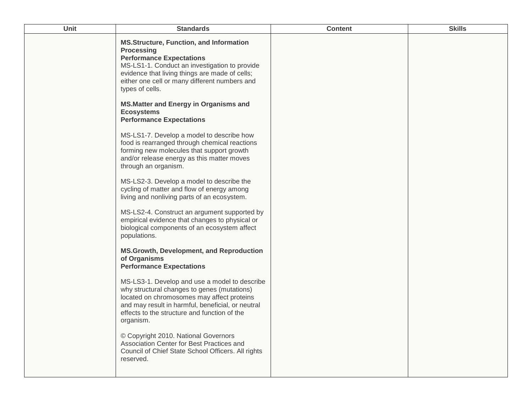| Unit | <b>Standards</b>                                                                                                                                                                                                                                                              | <b>Content</b> | <b>Skills</b> |
|------|-------------------------------------------------------------------------------------------------------------------------------------------------------------------------------------------------------------------------------------------------------------------------------|----------------|---------------|
|      | <b>MS.Structure, Function, and Information</b><br><b>Processing</b><br><b>Performance Expectations</b><br>MS-LS1-1. Conduct an investigation to provide<br>evidence that living things are made of cells;<br>either one cell or many different numbers and<br>types of cells. |                |               |
|      | <b>MS.Matter and Energy in Organisms and</b><br><b>Ecosystems</b><br><b>Performance Expectations</b>                                                                                                                                                                          |                |               |
|      | MS-LS1-7. Develop a model to describe how<br>food is rearranged through chemical reactions<br>forming new molecules that support growth<br>and/or release energy as this matter moves<br>through an organism.                                                                 |                |               |
|      | MS-LS2-3. Develop a model to describe the<br>cycling of matter and flow of energy among<br>living and nonliving parts of an ecosystem.                                                                                                                                        |                |               |
|      | MS-LS2-4. Construct an argument supported by<br>empirical evidence that changes to physical or<br>biological components of an ecosystem affect<br>populations.                                                                                                                |                |               |
|      | <b>MS.Growth, Development, and Reproduction</b><br>of Organisms<br><b>Performance Expectations</b>                                                                                                                                                                            |                |               |
|      | MS-LS3-1. Develop and use a model to describe<br>why structural changes to genes (mutations)<br>located on chromosomes may affect proteins<br>and may result in harmful, beneficial, or neutral<br>effects to the structure and function of the<br>organism.                  |                |               |
|      | © Copyright 2010. National Governors<br>Association Center for Best Practices and<br>Council of Chief State School Officers. All rights<br>reserved.                                                                                                                          |                |               |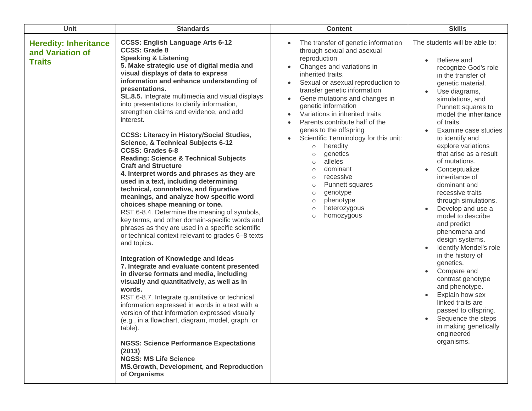| Unit                                                              | <b>Standards</b>                                                                                                                                                                                                                                                                                                                                                                                                                                                                                                                                                                                                                                                                                                                                                                                                                                                                                                                                                                                                                                                                                                                                                                                                                                                                                                                                                                                                                                                                                                                                                                                                                                             | <b>Content</b>                                                                                                                                                                                                                                                                                                                                                                                                                                                                                                                                                                                                                                                                                                                  | <b>Skills</b>                                                                                                                                                                                                                                                                                                                                                                                                                                                                                                                                                                                                                                                                                                                                                                                                                              |
|-------------------------------------------------------------------|--------------------------------------------------------------------------------------------------------------------------------------------------------------------------------------------------------------------------------------------------------------------------------------------------------------------------------------------------------------------------------------------------------------------------------------------------------------------------------------------------------------------------------------------------------------------------------------------------------------------------------------------------------------------------------------------------------------------------------------------------------------------------------------------------------------------------------------------------------------------------------------------------------------------------------------------------------------------------------------------------------------------------------------------------------------------------------------------------------------------------------------------------------------------------------------------------------------------------------------------------------------------------------------------------------------------------------------------------------------------------------------------------------------------------------------------------------------------------------------------------------------------------------------------------------------------------------------------------------------------------------------------------------------|---------------------------------------------------------------------------------------------------------------------------------------------------------------------------------------------------------------------------------------------------------------------------------------------------------------------------------------------------------------------------------------------------------------------------------------------------------------------------------------------------------------------------------------------------------------------------------------------------------------------------------------------------------------------------------------------------------------------------------|--------------------------------------------------------------------------------------------------------------------------------------------------------------------------------------------------------------------------------------------------------------------------------------------------------------------------------------------------------------------------------------------------------------------------------------------------------------------------------------------------------------------------------------------------------------------------------------------------------------------------------------------------------------------------------------------------------------------------------------------------------------------------------------------------------------------------------------------|
| <b>Heredity: Inheritance</b><br>and Variation of<br><b>Traits</b> | <b>CCSS: English Language Arts 6-12</b><br><b>CCSS: Grade 8</b><br><b>Speaking &amp; Listening</b><br>5. Make strategic use of digital media and<br>visual displays of data to express<br>information and enhance understanding of<br>presentations.<br>SL.8.5. Integrate multimedia and visual displays<br>into presentations to clarify information,<br>strengthen claims and evidence, and add<br>interest.<br><b>CCSS: Literacy in History/Social Studies,</b><br><b>Science, &amp; Technical Subjects 6-12</b><br><b>CCSS: Grades 6-8</b><br><b>Reading: Science &amp; Technical Subjects</b><br><b>Craft and Structure</b><br>4. Interpret words and phrases as they are<br>used in a text, including determining<br>technical, connotative, and figurative<br>meanings, and analyze how specific word<br>choices shape meaning or tone.<br>RST.6-8.4. Determine the meaning of symbols,<br>key terms, and other domain-specific words and<br>phrases as they are used in a specific scientific<br>or technical context relevant to grades 6-8 texts<br>and topics.<br><b>Integration of Knowledge and Ideas</b><br>7. Integrate and evaluate content presented<br>in diverse formats and media, including<br>visually and quantitatively, as well as in<br>words.<br>RST.6-8.7. Integrate quantitative or technical<br>information expressed in words in a text with a<br>version of that information expressed visually<br>(e.g., in a flowchart, diagram, model, graph, or<br>table).<br><b>NGSS: Science Performance Expectations</b><br>(2013)<br><b>NGSS: MS Life Science</b><br><b>MS.Growth, Development, and Reproduction</b><br>of Organisms | The transfer of genetic information<br>through sexual and asexual<br>reproduction<br>Changes and variations in<br>inherited traits.<br>Sexual or asexual reproduction to<br>$\bullet$<br>transfer genetic information<br>Gene mutations and changes in<br>$\bullet$<br>genetic information<br>Variations in inherited traits<br>$\bullet$<br>Parents contribute half of the<br>$\bullet$<br>genes to the offspring<br>Scientific Terminology for this unit:<br>$\bullet$<br>heredity<br>$\circ$<br>genetics<br>$\circ$<br>alleles<br>$\circ$<br>dominant<br>$\bigcirc$<br>recessive<br>$\circ$<br>Punnett squares<br>$\circ$<br>genotype<br>$\circ$<br>phenotype<br>$\circ$<br>heterozygous<br>$\circ$<br>homozygous<br>$\circ$ | The students will be able to:<br>Believe and<br>recognize God's role<br>in the transfer of<br>genetic material.<br>Use diagrams,<br>simulations, and<br>Punnett squares to<br>model the inheritance<br>of traits.<br>Examine case studies<br>to identify and<br>explore variations<br>that arise as a result<br>of mutations.<br>Conceptualize<br>$\bullet$<br>inheritance of<br>dominant and<br>recessive traits<br>through simulations.<br>Develop and use a<br>$\bullet$<br>model to describe<br>and predict<br>phenomena and<br>design systems.<br>Identify Mendel's role<br>in the history of<br>genetics.<br>Compare and<br>contrast genotype<br>and phenotype.<br>Explain how sex<br>$\bullet$<br>linked traits are<br>passed to offspring.<br>Sequence the steps<br>$\bullet$<br>in making genetically<br>engineered<br>organisms. |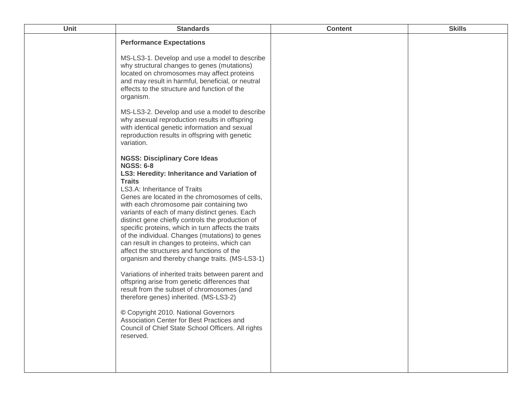| Unit | <b>Standards</b>                                                                                                                                                                                                                                                                                                                                                                                                                                                                                           | <b>Content</b> | <b>Skills</b> |
|------|------------------------------------------------------------------------------------------------------------------------------------------------------------------------------------------------------------------------------------------------------------------------------------------------------------------------------------------------------------------------------------------------------------------------------------------------------------------------------------------------------------|----------------|---------------|
|      | <b>Performance Expectations</b><br>MS-LS3-1. Develop and use a model to describe<br>why structural changes to genes (mutations)<br>located on chromosomes may affect proteins                                                                                                                                                                                                                                                                                                                              |                |               |
|      | and may result in harmful, beneficial, or neutral<br>effects to the structure and function of the<br>organism.                                                                                                                                                                                                                                                                                                                                                                                             |                |               |
|      | MS-LS3-2. Develop and use a model to describe<br>why asexual reproduction results in offspring<br>with identical genetic information and sexual<br>reproduction results in offspring with genetic<br>variation.                                                                                                                                                                                                                                                                                            |                |               |
|      | <b>NGSS: Disciplinary Core Ideas</b><br><b>NGSS: 6-8</b><br>LS3: Heredity: Inheritance and Variation of                                                                                                                                                                                                                                                                                                                                                                                                    |                |               |
|      | <b>Traits</b><br>LS3.A: Inheritance of Traits<br>Genes are located in the chromosomes of cells,<br>with each chromosome pair containing two<br>variants of each of many distinct genes. Each<br>distinct gene chiefly controls the production of<br>specific proteins, which in turn affects the traits<br>of the individual. Changes (mutations) to genes<br>can result in changes to proteins, which can<br>affect the structures and functions of the<br>organism and thereby change traits. (MS-LS3-1) |                |               |
|      | Variations of inherited traits between parent and<br>offspring arise from genetic differences that<br>result from the subset of chromosomes (and<br>therefore genes) inherited. (MS-LS3-2)                                                                                                                                                                                                                                                                                                                 |                |               |
|      | © Copyright 2010. National Governors<br>Association Center for Best Practices and<br>Council of Chief State School Officers. All rights<br>reserved.                                                                                                                                                                                                                                                                                                                                                       |                |               |
|      |                                                                                                                                                                                                                                                                                                                                                                                                                                                                                                            |                |               |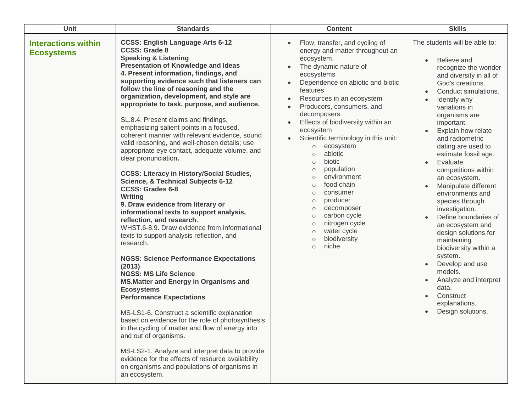| Unit                                            | <b>Standards</b>                                                                                                                                                                                                                                                                                                                                                                                                                                                                                                                                                                                                                                                                                                                                                                                                                                                                                                                                                                                                                                                                                                                                                                                                                                                                                                                                                                                                                                                                                                                                                                  | <b>Content</b>                                                                                                                                                                                                                                                                                                                                                                                                                                                                                                                                                                                                                                                                                                | <b>Skills</b>                                                                                                                                                                                                                                                                                                                                                                                                                                                                                                                                                                                                                                                                                                                         |
|-------------------------------------------------|-----------------------------------------------------------------------------------------------------------------------------------------------------------------------------------------------------------------------------------------------------------------------------------------------------------------------------------------------------------------------------------------------------------------------------------------------------------------------------------------------------------------------------------------------------------------------------------------------------------------------------------------------------------------------------------------------------------------------------------------------------------------------------------------------------------------------------------------------------------------------------------------------------------------------------------------------------------------------------------------------------------------------------------------------------------------------------------------------------------------------------------------------------------------------------------------------------------------------------------------------------------------------------------------------------------------------------------------------------------------------------------------------------------------------------------------------------------------------------------------------------------------------------------------------------------------------------------|---------------------------------------------------------------------------------------------------------------------------------------------------------------------------------------------------------------------------------------------------------------------------------------------------------------------------------------------------------------------------------------------------------------------------------------------------------------------------------------------------------------------------------------------------------------------------------------------------------------------------------------------------------------------------------------------------------------|---------------------------------------------------------------------------------------------------------------------------------------------------------------------------------------------------------------------------------------------------------------------------------------------------------------------------------------------------------------------------------------------------------------------------------------------------------------------------------------------------------------------------------------------------------------------------------------------------------------------------------------------------------------------------------------------------------------------------------------|
| <b>Interactions within</b><br><b>Ecosystems</b> | <b>CCSS: English Language Arts 6-12</b><br><b>CCSS: Grade 8</b><br><b>Speaking &amp; Listening</b><br><b>Presentation of Knowledge and Ideas</b><br>4. Present information, findings, and<br>supporting evidence such that listeners can<br>follow the line of reasoning and the<br>organization, development, and style are<br>appropriate to task, purpose, and audience.<br>SL.8.4. Present claims and findings,<br>emphasizing salient points in a focused,<br>coherent manner with relevant evidence, sound<br>valid reasoning, and well-chosen details; use<br>appropriate eye contact, adequate volume, and<br>clear pronunciation.<br><b>CCSS: Literacy in History/Social Studies,</b><br><b>Science, &amp; Technical Subjects 6-12</b><br><b>CCSS: Grades 6-8</b><br><b>Writing</b><br>9. Draw evidence from literary or<br>informational texts to support analysis,<br>reflection, and research.<br>WHST.6-8.9. Draw evidence from informational<br>texts to support analysis reflection, and<br>research.<br><b>NGSS: Science Performance Expectations</b><br>(2013)<br><b>NGSS: MS Life Science</b><br><b>MS.Matter and Energy in Organisms and</b><br><b>Ecosystems</b><br><b>Performance Expectations</b><br>MS-LS1-6. Construct a scientific explanation<br>based on evidence for the role of photosynthesis<br>in the cycling of matter and flow of energy into<br>and out of organisms.<br>MS-LS2-1. Analyze and interpret data to provide<br>evidence for the effects of resource availability<br>on organisms and populations of organisms in<br>an ecosystem. | Flow, transfer, and cycling of<br>energy and matter throughout an<br>ecosystem.<br>The dynamic nature of<br>$\bullet$<br>ecosystems<br>Dependence on abiotic and biotic<br>features<br>Resources in an ecosystem<br>Producers, consumers, and<br>decomposers<br>Effects of biodiversity within an<br>ecosystem<br>Scientific terminology in this unit:<br>ecosystem<br>$\circ$<br>abiotic<br>$\circ$<br>biotic<br>$\circ$<br>population<br>$\circ$<br>environment<br>$\circ$<br>food chain<br>$\circ$<br>consumer<br>$\circ$<br>producer<br>$\circ$<br>decomposer<br>$\circ$<br>carbon cycle<br>$\circ$<br>nitrogen cycle<br>$\circ$<br>water cycle<br>$\circ$<br>biodiversity<br>$\circ$<br>niche<br>$\circ$ | The students will be able to:<br>Believe and<br>recognize the wonder<br>and diversity in all of<br>God's creations.<br>Conduct simulations.<br>$\bullet$<br>Identify why<br>variations in<br>organisms are<br>important.<br>Explain how relate<br>and radiometric<br>dating are used to<br>estimate fossil age.<br>Evaluate<br>$\bullet$<br>competitions within<br>an ecosystem.<br>Manipulate different<br>environments and<br>species through<br>investigation.<br>Define boundaries of<br>an ecosystem and<br>design solutions for<br>maintaining<br>biodiversity within a<br>system.<br>Develop and use<br>$\bullet$<br>models.<br>Analyze and interpret<br>$\bullet$<br>data.<br>Construct<br>explanations.<br>Design solutions. |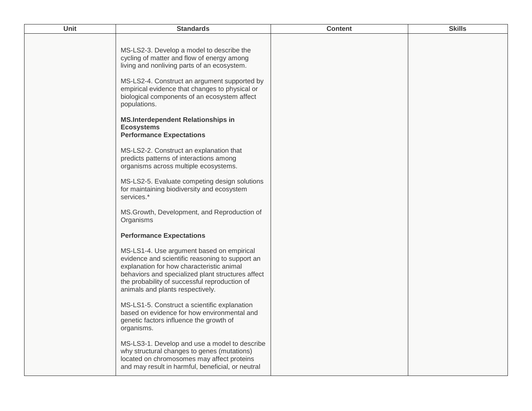| Unit | <b>Standards</b>                                                                                                                                                                                                                                                                         | <b>Content</b> | <b>Skills</b> |
|------|------------------------------------------------------------------------------------------------------------------------------------------------------------------------------------------------------------------------------------------------------------------------------------------|----------------|---------------|
|      | MS-LS2-3. Develop a model to describe the<br>cycling of matter and flow of energy among<br>living and nonliving parts of an ecosystem.<br>MS-LS2-4. Construct an argument supported by<br>empirical evidence that changes to physical or<br>biological components of an ecosystem affect |                |               |
|      | populations.<br><b>MS.Interdependent Relationships in</b><br><b>Ecosystems</b><br><b>Performance Expectations</b>                                                                                                                                                                        |                |               |
|      | MS-LS2-2. Construct an explanation that<br>predicts patterns of interactions among<br>organisms across multiple ecosystems.                                                                                                                                                              |                |               |
|      | MS-LS2-5. Evaluate competing design solutions<br>for maintaining biodiversity and ecosystem<br>services.*                                                                                                                                                                                |                |               |
|      | MS.Growth, Development, and Reproduction of<br>Organisms                                                                                                                                                                                                                                 |                |               |
|      | <b>Performance Expectations</b>                                                                                                                                                                                                                                                          |                |               |
|      | MS-LS1-4. Use argument based on empirical<br>evidence and scientific reasoning to support an<br>explanation for how characteristic animal<br>behaviors and specialized plant structures affect<br>the probability of successful reproduction of<br>animals and plants respectively.      |                |               |
|      | MS-LS1-5. Construct a scientific explanation<br>based on evidence for how environmental and<br>genetic factors influence the growth of<br>organisms.                                                                                                                                     |                |               |
|      | MS-LS3-1. Develop and use a model to describe<br>why structural changes to genes (mutations)<br>located on chromosomes may affect proteins<br>and may result in harmful, beneficial, or neutral                                                                                          |                |               |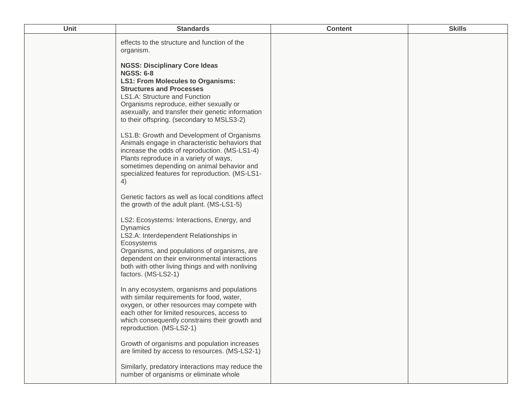| Unit | <b>Standards</b>                                                                                                                                                                                                                                                                                                                                                                                                                                                                                                                                                                                                          | <b>Content</b> | <b>Skills</b> |
|------|---------------------------------------------------------------------------------------------------------------------------------------------------------------------------------------------------------------------------------------------------------------------------------------------------------------------------------------------------------------------------------------------------------------------------------------------------------------------------------------------------------------------------------------------------------------------------------------------------------------------------|----------------|---------------|
|      | effects to the structure and function of the<br>organism.                                                                                                                                                                                                                                                                                                                                                                                                                                                                                                                                                                 |                |               |
|      | <b>NGSS: Disciplinary Core Ideas</b><br><b>NGSS: 6-8</b><br><b>LS1: From Molecules to Organisms:</b><br><b>Structures and Processes</b><br>LS1.A: Structure and Function<br>Organisms reproduce, either sexually or<br>asexually, and transfer their genetic information<br>to their offspring. (secondary to MSLS3-2)<br>LS1.B: Growth and Development of Organisms<br>Animals engage in characteristic behaviors that<br>increase the odds of reproduction. (MS-LS1-4)<br>Plants reproduce in a variety of ways,<br>sometimes depending on animal behavior and<br>specialized features for reproduction. (MS-LS1-<br>4) |                |               |
|      | Genetic factors as well as local conditions affect<br>the growth of the adult plant. (MS-LS1-5)                                                                                                                                                                                                                                                                                                                                                                                                                                                                                                                           |                |               |
|      | LS2: Ecosystems: Interactions, Energy, and<br><b>Dynamics</b><br>LS2.A: Interdependent Relationships in<br>Ecosystems<br>Organisms, and populations of organisms, are<br>dependent on their environmental interactions<br>both with other living things and with nonliving<br>factors. (MS-LS2-1)                                                                                                                                                                                                                                                                                                                         |                |               |
|      | In any ecosystem, organisms and populations<br>with similar requirements for food, water,<br>oxygen, or other resources may compete with<br>each other for limited resources, access to<br>which consequently constrains their growth and<br>reproduction. (MS-LS2-1)                                                                                                                                                                                                                                                                                                                                                     |                |               |
|      | Growth of organisms and population increases<br>are limited by access to resources. (MS-LS2-1)                                                                                                                                                                                                                                                                                                                                                                                                                                                                                                                            |                |               |
|      | Similarly, predatory interactions may reduce the<br>number of organisms or eliminate whole                                                                                                                                                                                                                                                                                                                                                                                                                                                                                                                                |                |               |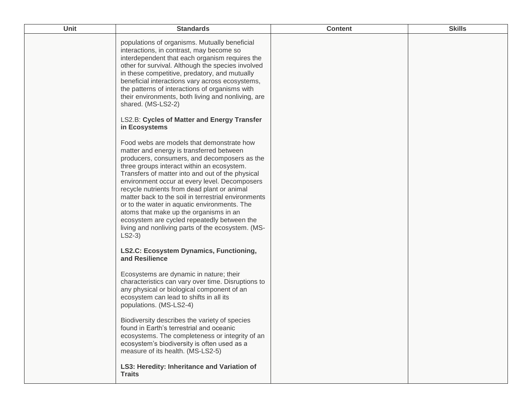| Unit | <b>Standards</b>                                                                                                                                                                                                                                                                                                                                                                                                                                                                                                                                                                                                          | <b>Content</b> | <b>Skills</b> |
|------|---------------------------------------------------------------------------------------------------------------------------------------------------------------------------------------------------------------------------------------------------------------------------------------------------------------------------------------------------------------------------------------------------------------------------------------------------------------------------------------------------------------------------------------------------------------------------------------------------------------------------|----------------|---------------|
|      | populations of organisms. Mutually beneficial<br>interactions, in contrast, may become so<br>interdependent that each organism requires the<br>other for survival. Although the species involved<br>in these competitive, predatory, and mutually<br>beneficial interactions vary across ecosystems,<br>the patterns of interactions of organisms with<br>their environments, both living and nonliving, are<br>shared. (MS-LS2-2)<br><b>LS2.B: Cycles of Matter and Energy Transfer</b>                                                                                                                                  |                |               |
|      | in Ecosystems<br>Food webs are models that demonstrate how<br>matter and energy is transferred between<br>producers, consumers, and decomposers as the<br>three groups interact within an ecosystem.<br>Transfers of matter into and out of the physical<br>environment occur at every level. Decomposers<br>recycle nutrients from dead plant or animal<br>matter back to the soil in terrestrial environments<br>or to the water in aquatic environments. The<br>atoms that make up the organisms in an<br>ecosystem are cycled repeatedly between the<br>living and nonliving parts of the ecosystem. (MS-<br>$LS2-3)$ |                |               |
|      | <b>LS2.C: Ecosystem Dynamics, Functioning,</b><br>and Resilience                                                                                                                                                                                                                                                                                                                                                                                                                                                                                                                                                          |                |               |
|      | Ecosystems are dynamic in nature; their<br>characteristics can vary over time. Disruptions to<br>any physical or biological component of an<br>ecosystem can lead to shifts in all its<br>populations. (MS-LS2-4)                                                                                                                                                                                                                                                                                                                                                                                                         |                |               |
|      | Biodiversity describes the variety of species<br>found in Earth's terrestrial and oceanic<br>ecosystems. The completeness or integrity of an<br>ecosystem's biodiversity is often used as a<br>measure of its health. (MS-LS2-5)                                                                                                                                                                                                                                                                                                                                                                                          |                |               |
|      | LS3: Heredity: Inheritance and Variation of<br><b>Traits</b>                                                                                                                                                                                                                                                                                                                                                                                                                                                                                                                                                              |                |               |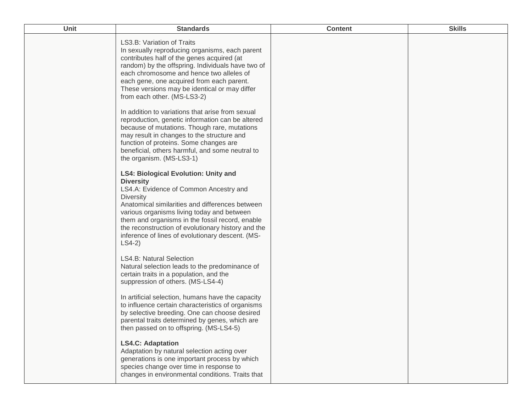| Unit | <b>Standards</b>                                                                                                                                                                                                                                                                                                                                                                                        | <b>Content</b> | <b>Skills</b> |
|------|---------------------------------------------------------------------------------------------------------------------------------------------------------------------------------------------------------------------------------------------------------------------------------------------------------------------------------------------------------------------------------------------------------|----------------|---------------|
|      | LS3.B: Variation of Traits<br>In sexually reproducing organisms, each parent<br>contributes half of the genes acquired (at<br>random) by the offspring. Individuals have two of<br>each chromosome and hence two alleles of<br>each gene, one acquired from each parent.<br>These versions may be identical or may differ<br>from each other. (MS-LS3-2)                                                |                |               |
|      | In addition to variations that arise from sexual<br>reproduction, genetic information can be altered<br>because of mutations. Though rare, mutations<br>may result in changes to the structure and<br>function of proteins. Some changes are<br>beneficial, others harmful, and some neutral to<br>the organism. (MS-LS3-1)                                                                             |                |               |
|      | <b>LS4: Biological Evolution: Unity and</b><br><b>Diversity</b><br>LS4.A: Evidence of Common Ancestry and<br><b>Diversity</b><br>Anatomical similarities and differences between<br>various organisms living today and between<br>them and organisms in the fossil record, enable<br>the reconstruction of evolutionary history and the<br>inference of lines of evolutionary descent. (MS-<br>$LS4-2)$ |                |               |
|      | <b>LS4.B: Natural Selection</b><br>Natural selection leads to the predominance of<br>certain traits in a population, and the<br>suppression of others. (MS-LS4-4)                                                                                                                                                                                                                                       |                |               |
|      | In artificial selection, humans have the capacity<br>to influence certain characteristics of organisms<br>by selective breeding. One can choose desired<br>parental traits determined by genes, which are<br>then passed on to offspring. (MS-LS4-5)                                                                                                                                                    |                |               |
|      | <b>LS4.C: Adaptation</b><br>Adaptation by natural selection acting over<br>generations is one important process by which<br>species change over time in response to<br>changes in environmental conditions. Traits that                                                                                                                                                                                 |                |               |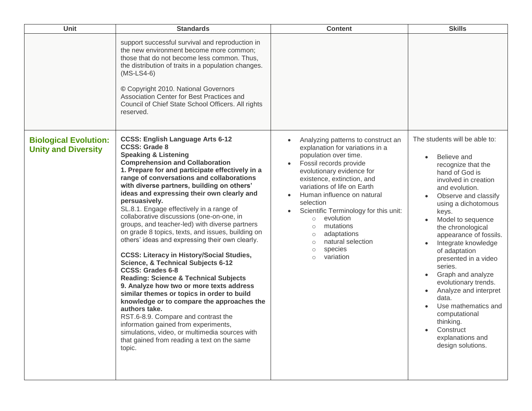| Unit                                                       | <b>Standards</b>                                                                                                                                                                                                                                                                                                                                                                                                                                                                                                                                                                                                                                                                                                                                                                                                                                                                                                                                                                                                                                                                                                                                    | <b>Content</b>                                                                                                                                                                                                                                                                                                                                                                                                                                                 | <b>Skills</b>                                                                                                                                                                                                                                                                                                                                                                                                                                                                                                                                             |
|------------------------------------------------------------|-----------------------------------------------------------------------------------------------------------------------------------------------------------------------------------------------------------------------------------------------------------------------------------------------------------------------------------------------------------------------------------------------------------------------------------------------------------------------------------------------------------------------------------------------------------------------------------------------------------------------------------------------------------------------------------------------------------------------------------------------------------------------------------------------------------------------------------------------------------------------------------------------------------------------------------------------------------------------------------------------------------------------------------------------------------------------------------------------------------------------------------------------------|----------------------------------------------------------------------------------------------------------------------------------------------------------------------------------------------------------------------------------------------------------------------------------------------------------------------------------------------------------------------------------------------------------------------------------------------------------------|-----------------------------------------------------------------------------------------------------------------------------------------------------------------------------------------------------------------------------------------------------------------------------------------------------------------------------------------------------------------------------------------------------------------------------------------------------------------------------------------------------------------------------------------------------------|
|                                                            | support successful survival and reproduction in<br>the new environment become more common;<br>those that do not become less common. Thus,<br>the distribution of traits in a population changes.<br>$(MS-LS4-6)$<br>© Copyright 2010. National Governors<br>Association Center for Best Practices and<br>Council of Chief State School Officers. All rights<br>reserved.                                                                                                                                                                                                                                                                                                                                                                                                                                                                                                                                                                                                                                                                                                                                                                            |                                                                                                                                                                                                                                                                                                                                                                                                                                                                |                                                                                                                                                                                                                                                                                                                                                                                                                                                                                                                                                           |
| <b>Biological Evolution:</b><br><b>Unity and Diversity</b> | <b>CCSS: English Language Arts 6-12</b><br><b>CCSS: Grade 8</b><br><b>Speaking &amp; Listening</b><br><b>Comprehension and Collaboration</b><br>1. Prepare for and participate effectively in a<br>range of conversations and collaborations<br>with diverse partners, building on others'<br>ideas and expressing their own clearly and<br>persuasively.<br>SL.8.1. Engage effectively in a range of<br>collaborative discussions (one-on-one, in<br>groups, and teacher-led) with diverse partners<br>on grade 8 topics, texts, and issues, building on<br>others' ideas and expressing their own clearly.<br><b>CCSS: Literacy in History/Social Studies,</b><br><b>Science, &amp; Technical Subjects 6-12</b><br><b>CCSS: Grades 6-8</b><br><b>Reading: Science &amp; Technical Subjects</b><br>9. Analyze how two or more texts address<br>similar themes or topics in order to build<br>knowledge or to compare the approaches the<br>authors take.<br>RST.6-8.9. Compare and contrast the<br>information gained from experiments,<br>simulations, video, or multimedia sources with<br>that gained from reading a text on the same<br>topic. | Analyzing patterns to construct an<br>explanation for variations in a<br>population over time.<br>Fossil records provide<br>evolutionary evidence for<br>existence, extinction, and<br>variations of life on Earth<br>Human influence on natural<br>selection<br>Scientific Terminology for this unit:<br>evolution<br>$\circ$<br>mutations<br>$\circ$<br>adaptations<br>$\circ$<br>natural selection<br>$\circ$<br>species<br>$\circ$<br>variation<br>$\circ$ | The students will be able to:<br>Believe and<br>recognize that the<br>hand of God is<br>involved in creation<br>and evolution.<br>Observe and classify<br>using a dichotomous<br>keys.<br>Model to sequence<br>the chronological<br>appearance of fossils.<br>Integrate knowledge<br>of adaptation<br>presented in a video<br>series.<br>Graph and analyze<br>$\bullet$<br>evolutionary trends.<br>Analyze and interpret<br>$\bullet$<br>data.<br>Use mathematics and<br>computational<br>thinking.<br>Construct<br>explanations and<br>design solutions. |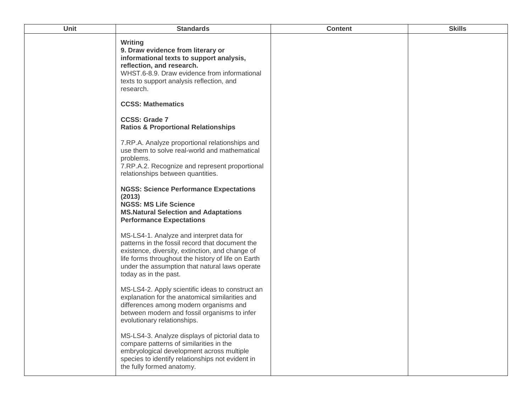| <b>Unit</b> | <b>Standards</b>                                                                                                                                                                                                                                                                | <b>Content</b> | <b>Skills</b> |
|-------------|---------------------------------------------------------------------------------------------------------------------------------------------------------------------------------------------------------------------------------------------------------------------------------|----------------|---------------|
|             | <b>Writing</b><br>9. Draw evidence from literary or<br>informational texts to support analysis,<br>reflection, and research.<br>WHST.6-8.9. Draw evidence from informational<br>texts to support analysis reflection, and<br>research.                                          |                |               |
|             | <b>CCSS: Mathematics</b>                                                                                                                                                                                                                                                        |                |               |
|             | <b>CCSS: Grade 7</b><br><b>Ratios &amp; Proportional Relationships</b>                                                                                                                                                                                                          |                |               |
|             | 7.RP.A. Analyze proportional relationships and<br>use them to solve real-world and mathematical<br>problems.<br>7.RP.A.2. Recognize and represent proportional<br>relationships between quantities.                                                                             |                |               |
|             | <b>NGSS: Science Performance Expectations</b><br>(2013)<br><b>NGSS: MS Life Science</b><br><b>MS.Natural Selection and Adaptations</b><br><b>Performance Expectations</b>                                                                                                       |                |               |
|             | MS-LS4-1. Analyze and interpret data for<br>patterns in the fossil record that document the<br>existence, diversity, extinction, and change of<br>life forms throughout the history of life on Earth<br>under the assumption that natural laws operate<br>today as in the past. |                |               |
|             | MS-LS4-2. Apply scientific ideas to construct an<br>explanation for the anatomical similarities and<br>differences among modern organisms and<br>between modern and fossil organisms to infer<br>evolutionary relationships.                                                    |                |               |
|             | MS-LS4-3. Analyze displays of pictorial data to<br>compare patterns of similarities in the<br>embryological development across multiple<br>species to identify relationships not evident in<br>the fully formed anatomy.                                                        |                |               |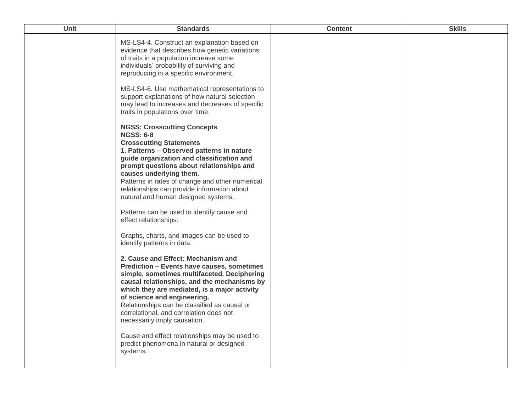| Unit | <b>Standards</b>                                                                                                                                                                                                                                                                                                                                                                                                                                 | <b>Content</b> | <b>Skills</b> |
|------|--------------------------------------------------------------------------------------------------------------------------------------------------------------------------------------------------------------------------------------------------------------------------------------------------------------------------------------------------------------------------------------------------------------------------------------------------|----------------|---------------|
|      | MS-LS4-4. Construct an explanation based on<br>evidence that describes how genetic variations<br>of traits in a population increase some<br>individuals' probability of surviving and<br>reproducing in a specific environment.                                                                                                                                                                                                                  |                |               |
|      | MS-LS4-6. Use mathematical representations to<br>support explanations of how natural selection<br>may lead to increases and decreases of specific<br>traits in populations over time.                                                                                                                                                                                                                                                            |                |               |
|      | <b>NGSS: Crosscutting Concepts</b><br><b>NGSS: 6-8</b><br><b>Crosscutting Statements</b><br>1. Patterns - Observed patterns in nature<br>guide organization and classification and<br>prompt questions about relationships and<br>causes underlying them.<br>Patterns in rates of change and other numerical<br>relationships can provide information about<br>natural and human designed systems.<br>Patterns can be used to identify cause and |                |               |
|      | effect relationships.<br>Graphs, charts, and images can be used to<br>identify patterns in data.                                                                                                                                                                                                                                                                                                                                                 |                |               |
|      | 2. Cause and Effect: Mechanism and<br><b>Prediction - Events have causes, sometimes</b><br>simple, sometimes multifaceted. Deciphering<br>causal relationships, and the mechanisms by<br>which they are mediated, is a major activity<br>of science and engineering.<br>Relationships can be classified as causal or<br>correlational, and correlation does not<br>necessarily imply causation.                                                  |                |               |
|      | Cause and effect relationships may be used to<br>predict phenomena in natural or designed<br>systems.                                                                                                                                                                                                                                                                                                                                            |                |               |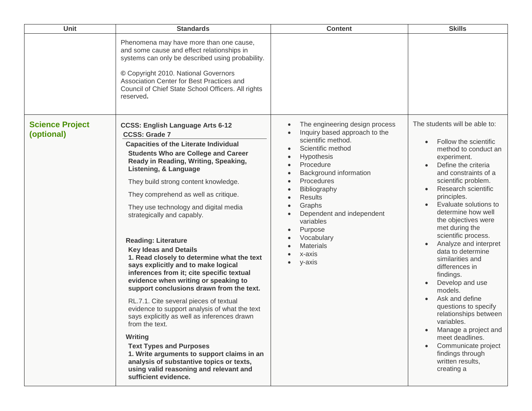| Unit                                 | <b>Standards</b>                                                                                                                                                                                                                                                                                                                                                                                                                                                                                                                                                                                                                                                                                                                                                                                                                                                                                                                                                                                                                               | <b>Content</b>                                                                                                                                                                                                                                                                                                                                                                           | <b>Skills</b>                                                                                                                                                                                                                                                                                                                                                                                                                                                                                                                                                                                                                                                                              |
|--------------------------------------|------------------------------------------------------------------------------------------------------------------------------------------------------------------------------------------------------------------------------------------------------------------------------------------------------------------------------------------------------------------------------------------------------------------------------------------------------------------------------------------------------------------------------------------------------------------------------------------------------------------------------------------------------------------------------------------------------------------------------------------------------------------------------------------------------------------------------------------------------------------------------------------------------------------------------------------------------------------------------------------------------------------------------------------------|------------------------------------------------------------------------------------------------------------------------------------------------------------------------------------------------------------------------------------------------------------------------------------------------------------------------------------------------------------------------------------------|--------------------------------------------------------------------------------------------------------------------------------------------------------------------------------------------------------------------------------------------------------------------------------------------------------------------------------------------------------------------------------------------------------------------------------------------------------------------------------------------------------------------------------------------------------------------------------------------------------------------------------------------------------------------------------------------|
|                                      | Phenomena may have more than one cause,<br>and some cause and effect relationships in<br>systems can only be described using probability.<br>© Copyright 2010. National Governors<br>Association Center for Best Practices and<br>Council of Chief State School Officers. All rights<br>reserved.                                                                                                                                                                                                                                                                                                                                                                                                                                                                                                                                                                                                                                                                                                                                              |                                                                                                                                                                                                                                                                                                                                                                                          |                                                                                                                                                                                                                                                                                                                                                                                                                                                                                                                                                                                                                                                                                            |
| <b>Science Project</b><br>(optional) | <b>CCSS: English Language Arts 6-12</b><br><b>CCSS: Grade 7</b><br><b>Capacities of the Literate Individual</b><br><b>Students Who are College and Career</b><br>Ready in Reading, Writing, Speaking,<br>Listening, & Language<br>They build strong content knowledge.<br>They comprehend as well as critique.<br>They use technology and digital media<br>strategically and capably.<br><b>Reading: Literature</b><br><b>Key Ideas and Details</b><br>1. Read closely to determine what the text<br>says explicitly and to make logical<br>inferences from it; cite specific textual<br>evidence when writing or speaking to<br>support conclusions drawn from the text.<br>RL.7.1. Cite several pieces of textual<br>evidence to support analysis of what the text<br>says explicitly as well as inferences drawn<br>from the text.<br>Writing<br><b>Text Types and Purposes</b><br>1. Write arguments to support claims in an<br>analysis of substantive topics or texts,<br>using valid reasoning and relevant and<br>sufficient evidence. | The engineering design process<br>Inquiry based approach to the<br>scientific method.<br>Scientific method<br>Hypothesis<br>Procedure<br>Background information<br>Procedures<br>Bibliography<br><b>Results</b><br>$\bullet$<br>Graphs<br>$\bullet$<br>Dependent and independent<br>$\bullet$<br>variables<br>Purpose<br>Vocabulary<br><b>Materials</b><br>x-axis<br>y-axis<br>$\bullet$ | The students will be able to:<br>Follow the scientific<br>method to conduct an<br>experiment.<br>Define the criteria<br>$\bullet$<br>and constraints of a<br>scientific problem.<br>Research scientific<br>principles.<br>Evaluate solutions to<br>determine how well<br>the objectives were<br>met during the<br>scientific process.<br>Analyze and interpret<br>data to determine<br>similarities and<br>differences in<br>findings.<br>Develop and use<br>models.<br>Ask and define<br>$\bullet$<br>questions to specify<br>relationships between<br>variables.<br>Manage a project and<br>meet deadlines.<br>Communicate project<br>findings through<br>written results,<br>creating a |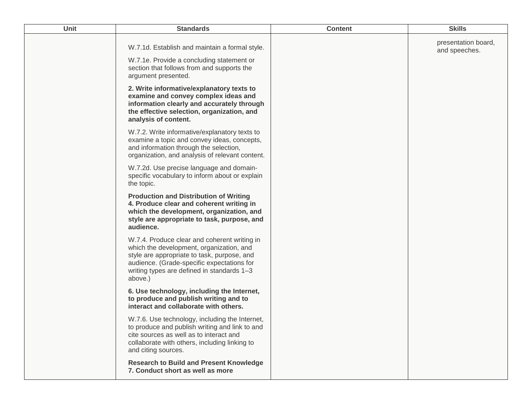| Unit | <b>Standards</b>                                                                                                                                                                                                                               | <b>Content</b> | <b>Skills</b>                        |
|------|------------------------------------------------------------------------------------------------------------------------------------------------------------------------------------------------------------------------------------------------|----------------|--------------------------------------|
|      | W.7.1d. Establish and maintain a formal style.<br>W.7.1e. Provide a concluding statement or<br>section that follows from and supports the                                                                                                      |                | presentation board,<br>and speeches. |
|      | argument presented.<br>2. Write informative/explanatory texts to<br>examine and convey complex ideas and<br>information clearly and accurately through<br>the effective selection, organization, and<br>analysis of content.                   |                |                                      |
|      | W.7.2. Write informative/explanatory texts to<br>examine a topic and convey ideas, concepts,<br>and information through the selection,<br>organization, and analysis of relevant content.                                                      |                |                                      |
|      | W.7.2d. Use precise language and domain-<br>specific vocabulary to inform about or explain<br>the topic.                                                                                                                                       |                |                                      |
|      | <b>Production and Distribution of Writing</b><br>4. Produce clear and coherent writing in<br>which the development, organization, and<br>style are appropriate to task, purpose, and<br>audience.                                              |                |                                      |
|      | W.7.4. Produce clear and coherent writing in<br>which the development, organization, and<br>style are appropriate to task, purpose, and<br>audience. (Grade-specific expectations for<br>writing types are defined in standards 1-3<br>above.) |                |                                      |
|      | 6. Use technology, including the Internet,<br>to produce and publish writing and to<br>interact and collaborate with others.                                                                                                                   |                |                                      |
|      | W.7.6. Use technology, including the Internet,<br>to produce and publish writing and link to and<br>cite sources as well as to interact and<br>collaborate with others, including linking to<br>and citing sources.                            |                |                                      |
|      | <b>Research to Build and Present Knowledge</b><br>7. Conduct short as well as more                                                                                                                                                             |                |                                      |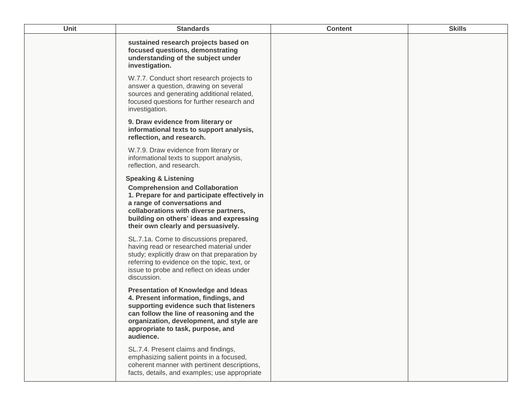| Unit | <b>Standards</b>                                                                                                                                                                                                                                                                       | <b>Content</b> | <b>Skills</b> |
|------|----------------------------------------------------------------------------------------------------------------------------------------------------------------------------------------------------------------------------------------------------------------------------------------|----------------|---------------|
|      | sustained research projects based on<br>focused questions, demonstrating<br>understanding of the subject under<br>investigation.                                                                                                                                                       |                |               |
|      | W.7.7. Conduct short research projects to<br>answer a question, drawing on several<br>sources and generating additional related,<br>focused questions for further research and<br>investigation.                                                                                       |                |               |
|      | 9. Draw evidence from literary or<br>informational texts to support analysis,<br>reflection, and research.                                                                                                                                                                             |                |               |
|      | W.7.9. Draw evidence from literary or<br>informational texts to support analysis,<br>reflection, and research.                                                                                                                                                                         |                |               |
|      | <b>Speaking &amp; Listening</b><br><b>Comprehension and Collaboration</b><br>1. Prepare for and participate effectively in<br>a range of conversations and<br>collaborations with diverse partners,<br>building on others' ideas and expressing<br>their own clearly and persuasively. |                |               |
|      | SL.7.1a. Come to discussions prepared,<br>having read or researched material under<br>study; explicitly draw on that preparation by<br>referring to evidence on the topic, text, or<br>issue to probe and reflect on ideas under<br>discussion.                                        |                |               |
|      | <b>Presentation of Knowledge and Ideas</b><br>4. Present information, findings, and<br>supporting evidence such that listeners<br>can follow the line of reasoning and the<br>organization, development, and style are<br>appropriate to task, purpose, and<br>audience.               |                |               |
|      | SL.7.4. Present claims and findings,<br>emphasizing salient points in a focused,<br>coherent manner with pertinent descriptions,<br>facts, details, and examples; use appropriate                                                                                                      |                |               |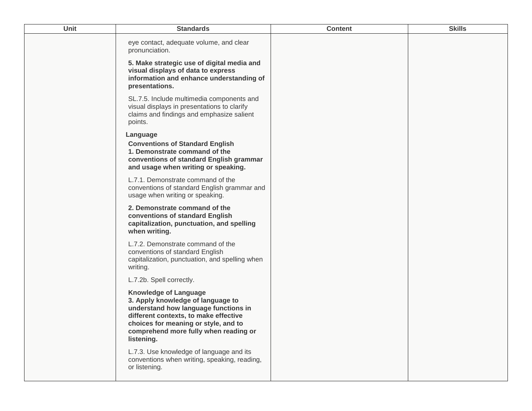| Unit | <b>Standards</b>                                                                                                                                                                                                                                  | <b>Content</b> | <b>Skills</b> |
|------|---------------------------------------------------------------------------------------------------------------------------------------------------------------------------------------------------------------------------------------------------|----------------|---------------|
|      | eye contact, adequate volume, and clear<br>pronunciation.                                                                                                                                                                                         |                |               |
|      | 5. Make strategic use of digital media and<br>visual displays of data to express<br>information and enhance understanding of<br>presentations.                                                                                                    |                |               |
|      | SL.7.5. Include multimedia components and<br>visual displays in presentations to clarify<br>claims and findings and emphasize salient<br>points.                                                                                                  |                |               |
|      | Language<br><b>Conventions of Standard English</b><br>1. Demonstrate command of the<br>conventions of standard English grammar<br>and usage when writing or speaking.                                                                             |                |               |
|      | L.7.1. Demonstrate command of the<br>conventions of standard English grammar and<br>usage when writing or speaking.                                                                                                                               |                |               |
|      | 2. Demonstrate command of the<br>conventions of standard English<br>capitalization, punctuation, and spelling<br>when writing.                                                                                                                    |                |               |
|      | L.7.2. Demonstrate command of the<br>conventions of standard English<br>capitalization, punctuation, and spelling when<br>writing.                                                                                                                |                |               |
|      | L.7.2b. Spell correctly.                                                                                                                                                                                                                          |                |               |
|      | <b>Knowledge of Language</b><br>3. Apply knowledge of language to<br>understand how language functions in<br>different contexts, to make effective<br>choices for meaning or style, and to<br>comprehend more fully when reading or<br>listening. |                |               |
|      | L.7.3. Use knowledge of language and its<br>conventions when writing, speaking, reading,<br>or listening.                                                                                                                                         |                |               |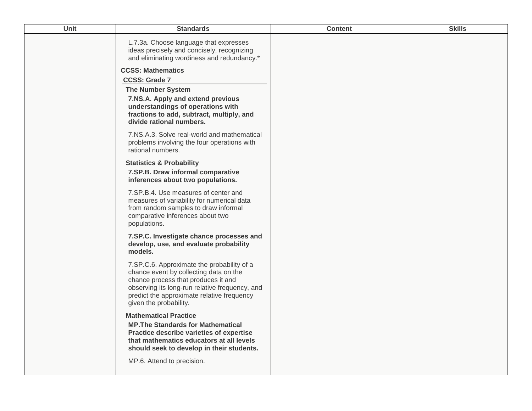| Unit | <b>Standards</b>                                                                                                                                                                                                                                      | <b>Content</b> | <b>Skills</b> |
|------|-------------------------------------------------------------------------------------------------------------------------------------------------------------------------------------------------------------------------------------------------------|----------------|---------------|
|      | L.7.3a. Choose language that expresses<br>ideas precisely and concisely, recognizing<br>and eliminating wordiness and redundancy.*                                                                                                                    |                |               |
|      | <b>CCSS: Mathematics</b><br><b>CCSS: Grade 7</b>                                                                                                                                                                                                      |                |               |
|      | <b>The Number System</b>                                                                                                                                                                                                                              |                |               |
|      | 7.NS.A. Apply and extend previous<br>understandings of operations with<br>fractions to add, subtract, multiply, and<br>divide rational numbers.                                                                                                       |                |               |
|      | 7.NS.A.3. Solve real-world and mathematical<br>problems involving the four operations with<br>rational numbers.                                                                                                                                       |                |               |
|      | <b>Statistics &amp; Probability</b><br>7.SP.B. Draw informal comparative<br>inferences about two populations.                                                                                                                                         |                |               |
|      | 7.SP.B.4. Use measures of center and<br>measures of variability for numerical data<br>from random samples to draw informal<br>comparative inferences about two<br>populations.                                                                        |                |               |
|      | 7.SP.C. Investigate chance processes and<br>develop, use, and evaluate probability<br>models.                                                                                                                                                         |                |               |
|      | 7.SP.C.6. Approximate the probability of a<br>chance event by collecting data on the<br>chance process that produces it and<br>observing its long-run relative frequency, and<br>predict the approximate relative frequency<br>given the probability. |                |               |
|      | <b>Mathematical Practice</b><br><b>MP. The Standards for Mathematical</b><br>Practice describe varieties of expertise<br>that mathematics educators at all levels<br>should seek to develop in their students.                                        |                |               |
|      | MP.6. Attend to precision.                                                                                                                                                                                                                            |                |               |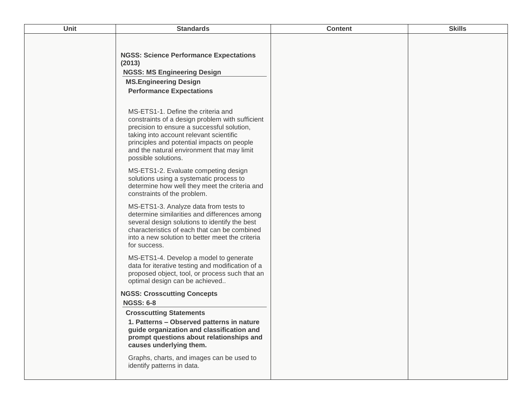| Unit | <b>Standards</b>                                                                                                                                                                                                                                                                                  | <b>Content</b> | <b>Skills</b> |
|------|---------------------------------------------------------------------------------------------------------------------------------------------------------------------------------------------------------------------------------------------------------------------------------------------------|----------------|---------------|
|      | <b>NGSS: Science Performance Expectations</b><br>(2013)<br><b>NGSS: MS Engineering Design</b><br><b>MS.Engineering Design</b><br><b>Performance Expectations</b>                                                                                                                                  |                |               |
|      | MS-ETS1-1. Define the criteria and<br>constraints of a design problem with sufficient<br>precision to ensure a successful solution,<br>taking into account relevant scientific<br>principles and potential impacts on people<br>and the natural environment that may limit<br>possible solutions. |                |               |
|      | MS-ETS1-2. Evaluate competing design<br>solutions using a systematic process to<br>determine how well they meet the criteria and<br>constraints of the problem.                                                                                                                                   |                |               |
|      | MS-ETS1-3. Analyze data from tests to<br>determine similarities and differences among<br>several design solutions to identify the best<br>characteristics of each that can be combined<br>into a new solution to better meet the criteria<br>for success.                                         |                |               |
|      | MS-ETS1-4. Develop a model to generate<br>data for iterative testing and modification of a<br>proposed object, tool, or process such that an<br>optimal design can be achieved                                                                                                                    |                |               |
|      | <b>NGSS: Crosscutting Concepts</b><br><b>NGSS: 6-8</b>                                                                                                                                                                                                                                            |                |               |
|      | <b>Crosscutting Statements</b><br>1. Patterns - Observed patterns in nature<br>guide organization and classification and<br>prompt questions about relationships and<br>causes underlying them.<br>Graphs, charts, and images can be used to<br>identify patterns in data.                        |                |               |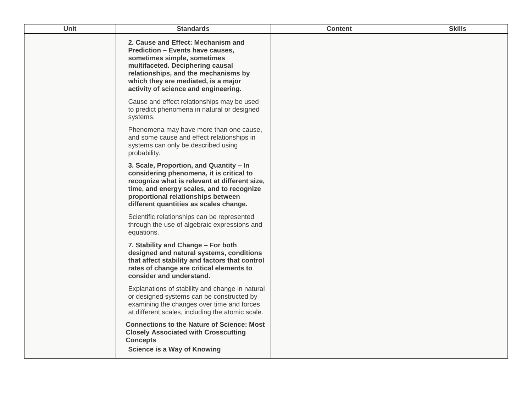| Unit | <b>Standards</b>                                                                                                                                                                                                                                                        | <b>Content</b> | <b>Skills</b> |
|------|-------------------------------------------------------------------------------------------------------------------------------------------------------------------------------------------------------------------------------------------------------------------------|----------------|---------------|
|      | 2. Cause and Effect: Mechanism and<br><b>Prediction - Events have causes,</b><br>sometimes simple, sometimes<br>multifaceted. Deciphering causal<br>relationships, and the mechanisms by<br>which they are mediated, is a major<br>activity of science and engineering. |                |               |
|      | Cause and effect relationships may be used<br>to predict phenomena in natural or designed<br>systems.                                                                                                                                                                   |                |               |
|      | Phenomena may have more than one cause,<br>and some cause and effect relationships in<br>systems can only be described using<br>probability.                                                                                                                            |                |               |
|      | 3. Scale, Proportion, and Quantity - In<br>considering phenomena, it is critical to<br>recognize what is relevant at different size,<br>time, and energy scales, and to recognize<br>proportional relationships between<br>different quantities as scales change.       |                |               |
|      | Scientific relationships can be represented<br>through the use of algebraic expressions and<br>equations.                                                                                                                                                               |                |               |
|      | 7. Stability and Change - For both<br>designed and natural systems, conditions<br>that affect stability and factors that control<br>rates of change are critical elements to<br>consider and understand.                                                                |                |               |
|      | Explanations of stability and change in natural<br>or designed systems can be constructed by<br>examining the changes over time and forces<br>at different scales, including the atomic scale.                                                                          |                |               |
|      | <b>Connections to the Nature of Science: Most</b><br><b>Closely Associated with Crosscutting</b><br><b>Concepts</b><br><b>Science is a Way of Knowing</b>                                                                                                               |                |               |